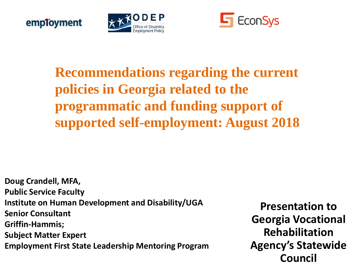





#### **Recommendations regarding the current policies in Georgia related to the programmatic and funding support of supported self-employment: August 2018**

**Doug Crandell, MFA, Public Service Faculty Institute on Human Development and Disability/UGA Senior Consultant Griffin-Hammis; Subject Matter Expert Employment First State Leadership Mentoring Program**

**Presentation to Georgia Vocational Rehabilitation Agency's Statewide Council**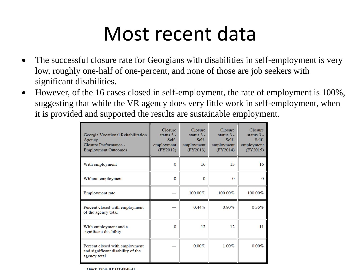#### Most recent data

- The successful closure rate for Georgians with disabilities in self-employment is very low, roughly one-half of one-percent, and none of those are job seekers with significant disabilities.
- However, of the 16 cases closed in self-employment, the rate of employment is 100%, suggesting that while the VR agency does very little work in self-employment, when it is provided and supported the results are sustainable employment.

| Georgia Vocational Rehabilitation<br>Agency<br>Closure Performance -<br><b>Employment Outcomes</b> | <b>Closure</b><br>status $3 -$<br>$Self-$<br>employment<br>(FY2012) | Closure<br>status $3 -$<br>$Self-$<br>employment<br>(FY2013) | Closure<br>status $3 -$<br>$Self-$<br>employment<br>(FY2014) | Closure<br>status $3 -$<br>$Self-$<br>employment<br>(FY2015) |
|----------------------------------------------------------------------------------------------------|---------------------------------------------------------------------|--------------------------------------------------------------|--------------------------------------------------------------|--------------------------------------------------------------|
| With employment                                                                                    | $\Omega$                                                            | 16                                                           | 13                                                           | 16                                                           |
| Without employment                                                                                 | $\Omega$                                                            | $\Omega$                                                     | $\Omega$                                                     | $\Omega$                                                     |
| Employment rate                                                                                    |                                                                     | 100.00%                                                      | 100.00%                                                      | 100.00%                                                      |
| Percent closed with employment<br>of the agency total                                              |                                                                     | $0.44\%$                                                     | 0.80%                                                        | 0.55%                                                        |
| With employment and a<br>significant disability                                                    | $\Omega$                                                            | 12                                                           | 12                                                           | 11                                                           |
| Percent closed with employment<br>and significant disability of the<br>agency total                |                                                                     | $0.00\%$                                                     | $1.00\%$                                                     | 0.00%                                                        |

Onick Table ID: OT-0048-H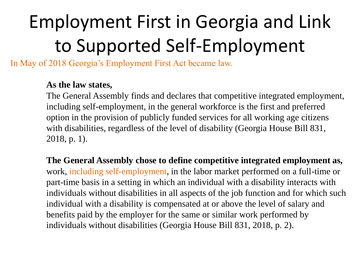# Employment First in Georgia and Link to Supported Self-Employment

In May of 2018 Georgia's Employment First Act became law.

#### **As the law states,**

The General Assembly finds and declares that competitive integrated employment, including self-employment, in the general workforce is the first and preferred option in the provision of publicly funded services for all working age citizens with disabilities, regardless of the level of disability (Georgia House Bill 831, 2018, p. 1).

**The General Assembly chose to define competitive integrated employment as,** work, including self-employment, in the labor market performed on a full-time or part-time basis in a setting in which an individual with a disability interacts with individuals without disabilities in all aspects of the job function and for which such individual with a disability is compensated at or above the level of salary and benefits paid by the employer for the same or similar work performed by individuals without disabilities (Georgia House Bill 831, 2018, p. 2).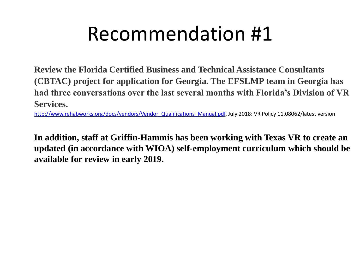## Recommendation #1

**Review the Florida Certified Business and Technical Assistance Consultants (CBTAC) project for application for Georgia. The EFSLMP team in Georgia has had three conversations over the last several months with Florida's Division of VR Services.**

[http://www.rehabworks.org/docs/vendors/Vendor\\_Qualifications\\_Manual.pdf,](http://www.rehabworks.org/docs/vendors/Vendor_Qualifications_Manual.pdf) July 2018: VR Policy 11.08062/latest version

**In addition, staff at Griffin-Hammis has been working with Texas VR to create an updated (in accordance with WIOA) self-employment curriculum which should be available for review in early 2019.**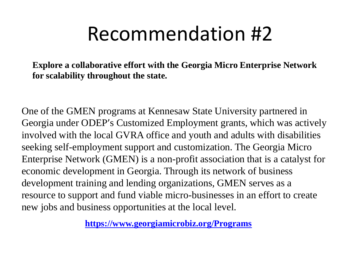## Recommendation #2

**Explore a collaborative effort with the Georgia Micro Enterprise Network for scalability throughout the state.** 

One of the GMEN programs at Kennesaw State University partnered in Georgia under ODEP's Customized Employment grants, which was actively involved with the local GVRA office and youth and adults with disabilities seeking self-employment support and customization. The Georgia Micro Enterprise Network (GMEN) is a non-profit association that is a catalyst for economic development in Georgia. Through its network of business development training and lending organizations, GMEN serves as a resource to support and fund viable micro-businesses in an effort to create new jobs and business opportunities at the local level.

**<https://www.georgiamicrobiz.org/Programs>**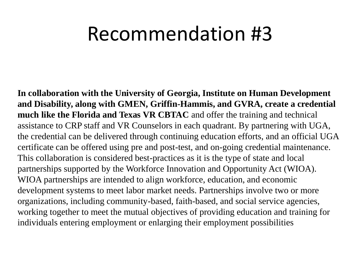#### Recommendation #3

**In collaboration with the University of Georgia, Institute on Human Development and Disability, along with GMEN, Griffin-Hammis, and GVRA, create a credential much like the Florida and Texas VR CBTAC** and offer the training and technical assistance to CRP staff and VR Counselors in each quadrant. By partnering with UGA, the credential can be delivered through continuing education efforts, and an official UGA certificate can be offered using pre and post-test, and on-going credential maintenance. This collaboration is considered best-practices as it is the type of state and local partnerships supported by the Workforce Innovation and Opportunity Act (WIOA). WIOA partnerships are intended to align workforce, education, and economic development systems to meet labor market needs. Partnerships involve two or more organizations, including community-based, faith-based, and social service agencies, working together to meet the mutual objectives of providing education and training for individuals entering employment or enlarging their employment possibilities